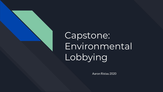

Aaron Ristau 2020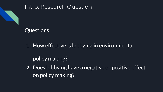



# Questions:

## 1. How effective is lobbying in environmental

policy making?

2. Does lobbying have a negative or positive effect on policy making?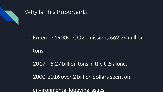

### Why Is This Important?

- Entering 1900s - CO2 emissions 662.74 million

tons

- 2017 5.27 billion tons in the U.S alone.
- 2000-2016 over 2 billion dollars spent on

environmental lobbying issues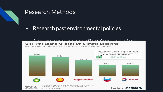

#### Research Methods

#### - Research past environmental policies

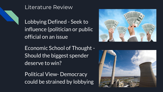

## Literature Review

Lobbying Defined - Seek to influence (politician or public official on an issue

Economic School of Thought - Should the biggest spender deserve to win?

Political View- Democracy could be strained by lobbying



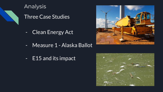

# Analysis

Three Case Studies

- Clean Energy Act
- Measure 1 Alaska Ballot
- E15 and its impact



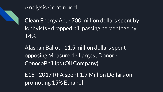

## Analysis Continued

Clean Energy Act - 700 million dollars spent by lobbyists - dropped bill passing percentage by 14%

Alaskan Ballot - 11.5 million dollars spent opposing Measure 1 - Largest Donor - ConocoPhillips (Oil Company)

E15 - 2017 RFA spent 1.9 Million Dollars on promoting 15% Ethanol